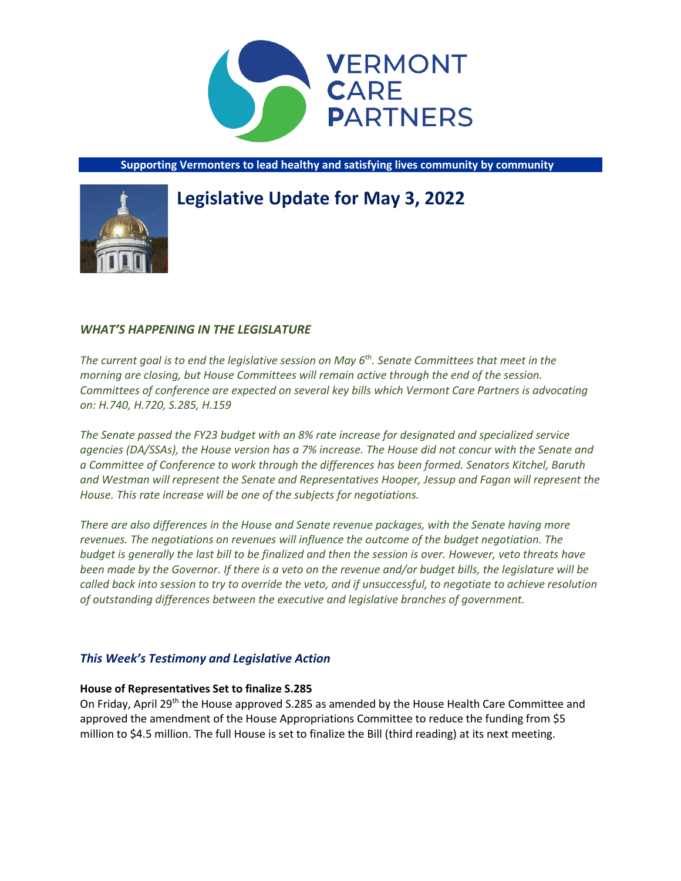

**Supporting Vermonters to lead healthy and satisfying lives community by community**

# **Legislative Update for May 3, 2022**



## *WHAT'S HAPPENING IN THE LEGISLATURE*

*The current goal is to end the legislative session on May 6th. Senate Committees that meet in the morning are closing, but House Committees will remain active through the end of the session. Committees of conference are expected on several key bills which Vermont Care Partners is advocating on: H.740, H.720, S.285, H.159*

*The Senate passed the FY23 budget with an 8% rate increase for designated and specialized service agencies (DA/SSAs), the House version has a 7% increase. The House did not concur with the Senate and a Committee of Conference to work through the differences has been formed. Senators Kitchel, Baruth and Westman will represent the Senate and Representatives Hooper, Jessup and Fagan will represent the House. This rate increase will be one of the subjects for negotiations.*

*There are also differences in the House and Senate revenue packages, with the Senate having more revenues. The negotiations on revenues will influence the outcome of the budget negotiation. The budget is generally the last bill to be finalized and then the session is over. However, veto threats have been made by the Governor. If there is a veto on the revenue and/or budget bills, the legislature will be called back into session to try to override the veto, and if unsuccessful, to negotiate to achieve resolution of outstanding differences between the executive and legislative branches of government.*

## *This Week's Testimony and Legislative Action*

## **House of Representatives Set to finalize S.285**

On Friday, April 29<sup>th</sup> the House approved S.285 as amended by the House Health Care Committee and approved the amendment of the House Appropriations Committee to reduce the funding from \$5 million to \$4.5 million. The full House is set to finalize the Bill (third reading) at its next meeting.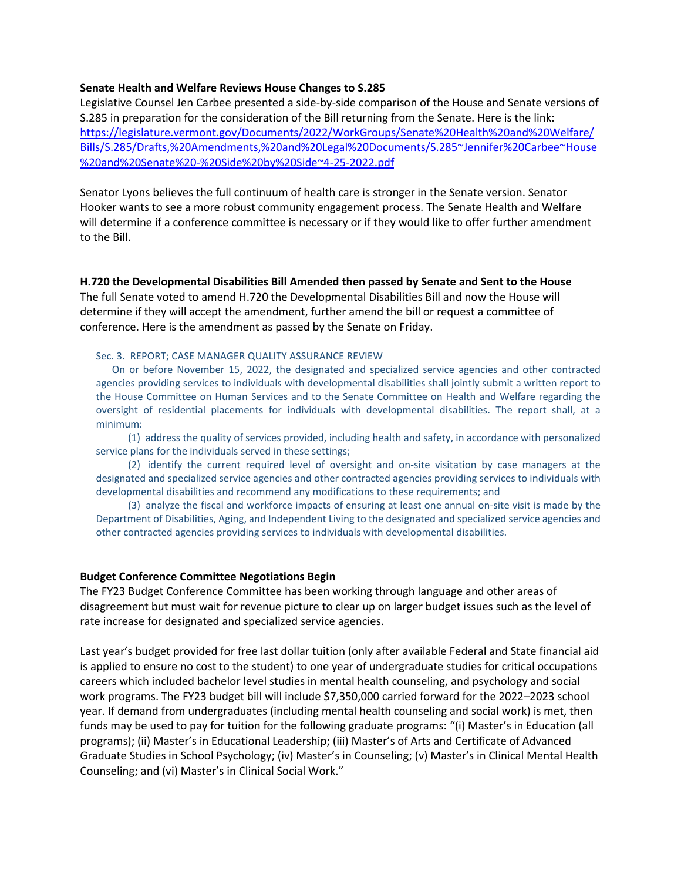#### **Senate Health and Welfare Reviews House Changes to S.285**

Legislative Counsel Jen Carbee presented a side-by-side comparison of the House and Senate versions of S.285 in preparation for the consideration of the Bill returning from the Senate. Here is the link: [https://legislature.vermont.gov/Documents/2022/WorkGroups/Senate%20Health%20and%20Welfare/](https://legislature.vermont.gov/Documents/2022/WorkGroups/Senate%20Health%20and%20Welfare/Bills/S.285/Drafts,%20Amendments,%20and%20Legal%20Documents/S.285~Jennifer%20Carbee~House%20and%20Senate%20-%20Side%20by%20Side~4-25-2022.pdf) [Bills/S.285/Drafts,%20Amendments,%20and%20Legal%20Documents/S.285~Jennifer%20Carbee~House](https://legislature.vermont.gov/Documents/2022/WorkGroups/Senate%20Health%20and%20Welfare/Bills/S.285/Drafts,%20Amendments,%20and%20Legal%20Documents/S.285~Jennifer%20Carbee~House%20and%20Senate%20-%20Side%20by%20Side~4-25-2022.pdf) [%20and%20Senate%20-%20Side%20by%20Side~4-25-2022.pdf](https://legislature.vermont.gov/Documents/2022/WorkGroups/Senate%20Health%20and%20Welfare/Bills/S.285/Drafts,%20Amendments,%20and%20Legal%20Documents/S.285~Jennifer%20Carbee~House%20and%20Senate%20-%20Side%20by%20Side~4-25-2022.pdf)

Senator Lyons believes the full continuum of health care is stronger in the Senate version. Senator Hooker wants to see a more robust community engagement process. The Senate Health and Welfare will determine if a conference committee is necessary or if they would like to offer further amendment to the Bill.

#### **H.720 the Developmental Disabilities Bill Amended then passed by Senate and Sent to the House**

The full Senate voted to amend H.720 the Developmental Disabilities Bill and now the House will determine if they will accept the amendment, further amend the bill or request a committee of conference. Here is the amendment as passed by the Senate on Friday.

#### Sec. 3. REPORT; CASE MANAGER QUALITY ASSURANCE REVIEW

On or before November 15, 2022, the designated and specialized service agencies and other contracted agencies providing services to individuals with developmental disabilities shall jointly submit a written report to the House Committee on Human Services and to the Senate Committee on Health and Welfare regarding the oversight of residential placements for individuals with developmental disabilities. The report shall, at a minimum:

(1) address the quality of services provided, including health and safety, in accordance with personalized service plans for the individuals served in these settings;

(2) identify the current required level of oversight and on-site visitation by case managers at the designated and specialized service agencies and other contracted agencies providing services to individuals with developmental disabilities and recommend any modifications to these requirements; and

(3) analyze the fiscal and workforce impacts of ensuring at least one annual on-site visit is made by the Department of Disabilities, Aging, and Independent Living to the designated and specialized service agencies and other contracted agencies providing services to individuals with developmental disabilities.

#### **Budget Conference Committee Negotiations Begin**

The FY23 Budget Conference Committee has been working through language and other areas of disagreement but must wait for revenue picture to clear up on larger budget issues such as the level of rate increase for designated and specialized service agencies.

Last year's budget provided for free last dollar tuition (only after available Federal and State financial aid is applied to ensure no cost to the student) to one year of undergraduate studies for critical occupations careers which included bachelor level studies in mental health counseling, and psychology and social work programs. The FY23 budget bill will include \$7,350,000 carried forward for the 2022–2023 school year. If demand from undergraduates (including mental health counseling and social work) is met, then funds may be used to pay for tuition for the following graduate programs: "(i) Master's in Education (all programs); (ii) Master's in Educational Leadership; (iii) Master's of Arts and Certificate of Advanced Graduate Studies in School Psychology; (iv) Master's in Counseling; (v) Master's in Clinical Mental Health Counseling; and (vi) Master's in Clinical Social Work."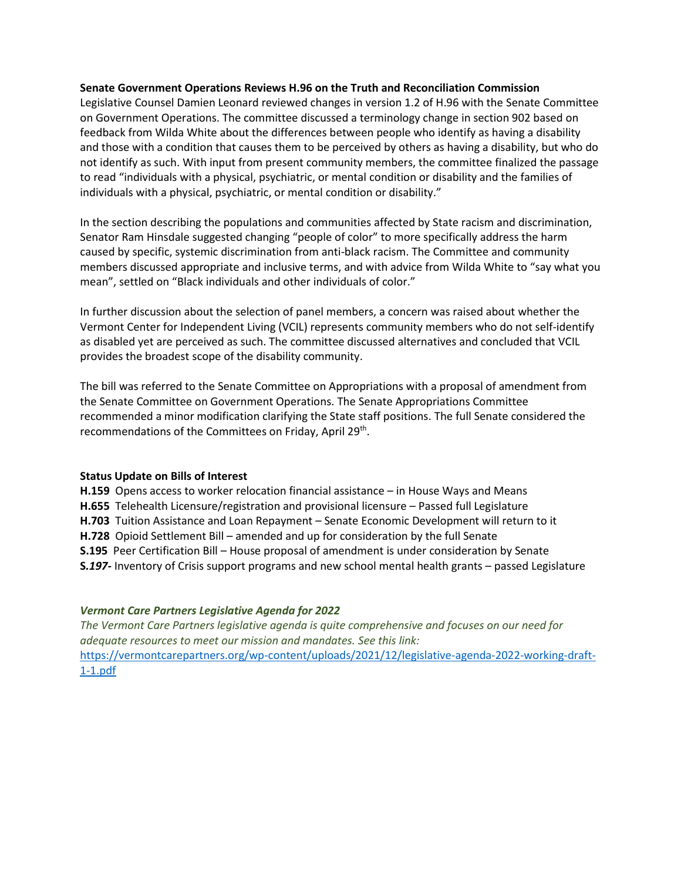#### **Senate Government Operations Reviews H.96 on the Truth and Reconciliation Commission**

Legislative Counsel Damien Leonard reviewed changes in version 1.2 of H.96 with the Senate Committee on Government Operations. The committee discussed a terminology change in section 902 based on feedback from Wilda White about the differences between people who identify as having a disability and those with a condition that causes them to be perceived by others as having a disability, but who do not identify as such. With input from present community members, the committee finalized the passage to read "individuals with a physical, psychiatric, or mental condition or disability and the families of individuals with a physical, psychiatric, or mental condition or disability."

In the section describing the populations and communities affected by State racism and discrimination, Senator Ram Hinsdale suggested changing "people of color" to more specifically address the harm caused by specific, systemic discrimination from anti-black racism. The Committee and community members discussed appropriate and inclusive terms, and with advice from Wilda White to "say what you mean", settled on "Black individuals and other individuals of color."

In further discussion about the selection of panel members, a concern was raised about whether the Vermont Center for Independent Living (VCIL) represents community members who do not self-identify as disabled yet are perceived as such. The committee discussed alternatives and concluded that VCIL provides the broadest scope of the disability community.

The bill was referred to the Senate Committee on Appropriations with a proposal of amendment from the Senate Committee on Government Operations. The Senate Appropriations Committee recommended a minor modification clarifying the State staff positions. The full Senate considered the recommendations of the Committees on Friday, April 29<sup>th</sup>.

#### **Status Update on Bills of Interest**

**H.159** Opens access to worker relocation financial assistance – in House Ways and Means **H.655** Telehealth Licensure/registration and provisional licensure – Passed full Legislature **H.703** Tuition Assistance and Loan Repayment – Senate Economic Development will return to it **H.728** Opioid Settlement Bill – amended and up for consideration by the full Senate **S.195** Peer Certification Bill – House proposal of amendment is under consideration by Senate **S***.197-* Inventory of Crisis support programs and new school mental health grants – passed Legislature

## *Vermont Care Partners Legislative Agenda for 2022*

*The Vermont Care Partners legislative agenda is quite comprehensive and focuses on our need for adequate resources to meet our mission and mandates. See this link:*  [https://vermontcarepartners.org/wp-content/uploads/2021/12/legislative-agenda-2022-working-draft-](https://vermontcarepartners.org/wp-content/uploads/2021/12/legislative-agenda-2022-working-draft-1-1.pdf)[1-1.pdf](https://vermontcarepartners.org/wp-content/uploads/2021/12/legislative-agenda-2022-working-draft-1-1.pdf)